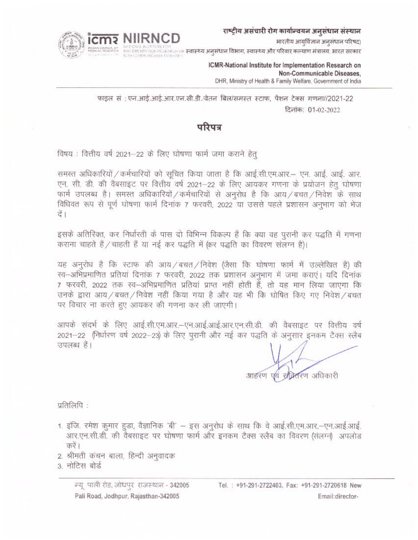राष्ट्रीय असंचारी रोग कार्यान्वयन अनुसंधान संस्थान

भारतीय आयुर्विज्ञान अनुसंधान परिषद)



DMENTA DON PRESERVENCIN **स्वास्थ्य अनुसंधान विभाग, स्वास्थ्य और परिवार कल्याण मंत्रालय, भारत सरकार** 

ICMR-National Institute for Implementation Research on Non-Communicable Diseases, DHR, Ministry of Health & Family Welfare, Government of India

फाइल सं : एन.आई.आई.आर.एन.सी.डी./वेतन बिल/समस्त स्टाफ, पैशन टेक्स गणना//2021-22 दिनांक: 01-02-2022

# परिपत्र

विषय : वित्तीय वर्ष 2021-22 के लिए घोषणा फार्म जमा कराने हेतू

समस्त अधिकारियों / कर्मचारियों को सुचित किया जाता है कि आई.सी.एम.आर.— एन. आई. आई. आए. एन. सी. डी. की वैबसाइट पर वित्तीय वर्ष 2021–22 के लिए आयकर गणना के प्रयोजन हेतू घोषणा फार्म उपलब्ध है। समस्त अधिकारियों / कर्मचारियों से अनुरोध है कि आय / बचत / निवेश के साथ विधिवत रूप से पूर्ण घोषणा फार्म दिनांक 7 फरवरी, 2022 या उससे पहले प्रशासन अनुभाग को भेज दें ।

इसके अतिरिक्त, कर निर्धारती के पास दो विभिन्न विकल्प हैं कि क्या वह पुरानी कर पद्धति में गणना कराना चाहते हैं / चाहती हैं या नई कर पद्धति में (कर पद्धति का विवरण संलग्न है)।

यह अनुरोध है कि स्टाफ की आय/बचत/निवेश (जैसा कि घोषणा फार्म में उल्लेखित है) की स्व-अभिप्रमाणित प्रतियां दिनांक 7 फरवरी, 2022 तक प्रशासन अनुभाग में जमा कराएं। यदि दिनांक 7 फरवरी, 2022 तक स्व-अभिप्रमाणित प्रतियां प्राप्त नहीं होती हैं, तो यह मान लिया जाएगा कि उनके द्वारा आय / बचत / निवेश नहीं किया गया है और यह भी कि घोषित किए गए निवेश / बचत पर विचार ना करते हुए आयकर की गणना कर ली जाएगी।

आपके संदर्भ के लिए आई.सी.एम.आर.—एन.आई.आई.आर.एन.सी.डी. की वैबसाइट पर वित्तीय वर्ष 2021-22 (निर्धारण वर्ष 2022-23) के लिए पुरानी और नई कर पद्धति के अनुसार इनकम टैक्स स्लैब उपलब्ध हैं।

आहरण एवं स्रक्रितरण अधिकारी

प्रतिलिपि:

- 1. इंजि. रमेश कुमार हुड़ा, वैज्ञानिक 'बी' इस अनुरोध के साथ कि वे आई.सी.एम.आर.-एन.आई.आई. आर.एन.सी.डी. की वैबसाइट पर घोषणा फार्म और इनकम टैक्स स्लैब का विवरण (संलग्न) अपलोड करें।
- 2. श्रीमती कंचन बाला, हिन्दी अनुवादक
- 3. नोटिस बोर्ड

न्यू पाली रोड, जोधपुर राजस्थान - 342005 Pali Road, Jodhpur, Rajasthan-342005

Tel. : +91-291-2722403, Fax: +91-291-2720618 New Email:director-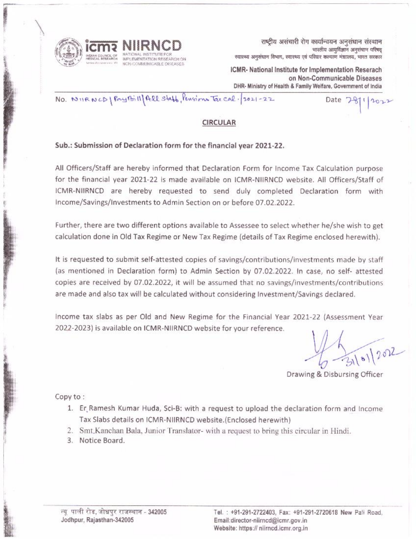

राष्ट्रीय असंचारी रोग कार्यान्वयन अनुसंधान संस्थान भारतीय आयुर्विज्ञान अनुसंधान परिषद स्यास्थ्य अनुसंधान विभाग, स्वास्थ्य एवं परिवार कल्याण मंत्राालय, भारत सरकार

ICMR- National Institute for Implementation Reserach on Non-Communicable Diseases DHR- Ministry of Health & Family Welfare, Government of India

Date  $7 - 8$ 

2022

No. NURNCD | Pay Bill All Staff, Pension Tax cal. 2021-22

## **CIRCULAR**

### Sub.: Submission of Declaration form for the financial year 2021-22.

All Officers/Staff are hereby informed that Declaration Form for Income Tax Calculation purpose for the financial year 2021-22 is made available on ICMR-NIIRNCD website. All Officers/Staff of ICMR-NIIRNCD are hereby requested to send duly completed Declaration form with Income/Savings/Investments to Admin Section on or before 07.02.2022.

Further, there are two different options available to Assessee to select whether he/she wish to get calculation done in Old Tax Regime or New Tax Regime (details of Tax Regime enclosed herewith).

It is requested to submit self-attested copies of savings/contributions/investments made by staff (as mentioned in Declaration form) to Admin Section by 07.02.2022. In case, no self- attested copies are received by 07.02.2022, it will be assumed that no savings/investments/contributions are made and also tax will be calculated without considering Investment/Savings declared.

Income tax slabs as per Old and New Regime for the Financial Year 2021-22 (Assessment Year 2022-2023) is available on ICMR-NIIRNCD website for your reference.

 $51202$ 

Drawing & Disbursing Officer

Copy to:

- 1. Er Ramesh Kumar Huda, Sci-B: with a request to upload the declaration form and Income Tax Slabs details on ICMR-NIIRNCD website.(Enclosed herewith)
- 2. Smt, Kanchan Bala, Junior Translator- with a request to bring this circular in Hindi.
- 3. Notice Board.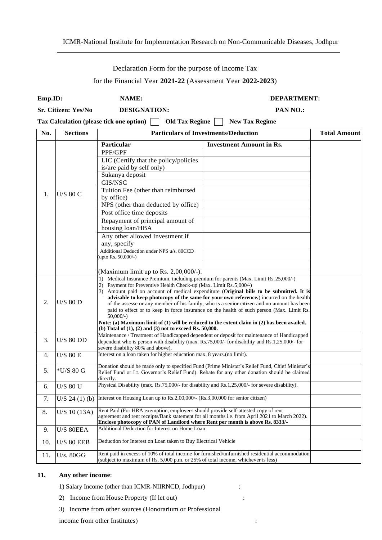#### ICMR-National Institute for Implementation Research on Non-Communicable Diseases, Jodhpur

#### Declaration Form for the purpose of Income Tax

for the Financial Year **2021-22** (Assessment Year **2022-2023**)

| Emp.ID:<br>Sr. Citizen: Yes/No |                                                                | NAME:                                                                                                                                                                                                                                                                                                                                                                                                                                                                                                                                                                                                                                                             | <b>DEPARTMENT:</b><br>PAN NO.:  |  |  |
|--------------------------------|----------------------------------------------------------------|-------------------------------------------------------------------------------------------------------------------------------------------------------------------------------------------------------------------------------------------------------------------------------------------------------------------------------------------------------------------------------------------------------------------------------------------------------------------------------------------------------------------------------------------------------------------------------------------------------------------------------------------------------------------|---------------------------------|--|--|
|                                |                                                                | <b>DESIGNATION:</b>                                                                                                                                                                                                                                                                                                                                                                                                                                                                                                                                                                                                                                               |                                 |  |  |
|                                |                                                                | <b>Tax Calculation (please tick one option)</b><br><b>Old Tax Regime</b>                                                                                                                                                                                                                                                                                                                                                                                                                                                                                                                                                                                          | <b>New Tax Regime</b>           |  |  |
| No.                            | <b>Particulars of Investments/Deduction</b><br><b>Sections</b> |                                                                                                                                                                                                                                                                                                                                                                                                                                                                                                                                                                                                                                                                   |                                 |  |  |
|                                | <b>U/S 80 C</b>                                                | Particular                                                                                                                                                                                                                                                                                                                                                                                                                                                                                                                                                                                                                                                        | <b>Investment Amount in Rs.</b> |  |  |
|                                |                                                                | PPF/GPF                                                                                                                                                                                                                                                                                                                                                                                                                                                                                                                                                                                                                                                           |                                 |  |  |
|                                |                                                                | LIC (Certify that the policy/policies<br>is/are paid by self only)                                                                                                                                                                                                                                                                                                                                                                                                                                                                                                                                                                                                |                                 |  |  |
|                                |                                                                | Sukanya deposit                                                                                                                                                                                                                                                                                                                                                                                                                                                                                                                                                                                                                                                   |                                 |  |  |
| 1.                             |                                                                | GIS/NSC                                                                                                                                                                                                                                                                                                                                                                                                                                                                                                                                                                                                                                                           |                                 |  |  |
|                                |                                                                | Tuition Fee (other than reimbursed<br>by office)                                                                                                                                                                                                                                                                                                                                                                                                                                                                                                                                                                                                                  |                                 |  |  |
|                                |                                                                | NPS (other than deducted by office)                                                                                                                                                                                                                                                                                                                                                                                                                                                                                                                                                                                                                               |                                 |  |  |
|                                |                                                                | Post office time deposits                                                                                                                                                                                                                                                                                                                                                                                                                                                                                                                                                                                                                                         |                                 |  |  |
|                                |                                                                | Repayment of principal amount of<br>housing loan/HBA                                                                                                                                                                                                                                                                                                                                                                                                                                                                                                                                                                                                              |                                 |  |  |
|                                |                                                                | Any other allowed Investment if                                                                                                                                                                                                                                                                                                                                                                                                                                                                                                                                                                                                                                   |                                 |  |  |
|                                |                                                                | any, specify                                                                                                                                                                                                                                                                                                                                                                                                                                                                                                                                                                                                                                                      |                                 |  |  |
|                                |                                                                | Additional Deduction under NPS u/s. 80CCD<br>(upto Rs. 50,000/-)                                                                                                                                                                                                                                                                                                                                                                                                                                                                                                                                                                                                  |                                 |  |  |
|                                |                                                                | (Maximum limit up to Rs. $2,00,000/$ -).                                                                                                                                                                                                                                                                                                                                                                                                                                                                                                                                                                                                                          |                                 |  |  |
| 2.                             | $U/S$ 80 D                                                     | Medical Insurance Premium, including premium for parents (Max. Limit Rs. 25,000/-)<br>1)<br>Payment for Preventive Health Check-up (Max. Limit Rs. 5,000/-)<br>2)<br>3) Amount paid on account of medical expenditure (Original bills to be submitted. It is<br>advisable to keep photocopy of the same for your own reference.) incurred on the health<br>of the assesse or any member of his family, who is a senior citizen and no amount has been<br>paid to effect or to keep in force insurance on the health of such person (Max. Limit Rs.<br>$50,000/-$ )<br>Note: (a) Maximum limit of (1) will be reduced to the extent claim in (2) has been availed. |                                 |  |  |
|                                |                                                                | (b) Total of $(1)$ , $(2)$ and $(3)$ not to exceed Rs. 50,000.                                                                                                                                                                                                                                                                                                                                                                                                                                                                                                                                                                                                    |                                 |  |  |
| 3.                             | <b>U/S 80 DD</b>                                               | Maintenance / Treatment of Handicapped dependent or deposit for maintenance of Handicapped<br>dependent who is person with disability (max. Rs.75,000/- for disability and Rs.1,25,000/- for<br>severe disability 80% and above).                                                                                                                                                                                                                                                                                                                                                                                                                                 |                                 |  |  |
| 4.                             | <b>U/S 80 E</b>                                                | Interest on a loan taken for higher education max. 8 years.(no limit).                                                                                                                                                                                                                                                                                                                                                                                                                                                                                                                                                                                            |                                 |  |  |
| 5.                             | $*U/S$ 80 G                                                    | Donation should be made only to specified Fund (Prime Minister's Relief Fund, Chief Minister's<br>Relief Fund or Lt. Governor's Relief Fund). Rebate for any other donation should be claimed                                                                                                                                                                                                                                                                                                                                                                                                                                                                     |                                 |  |  |
|                                |                                                                | directly.<br>Physical Disability (max. Rs.75,000/- for disability and Rs.1,25,000/- for severe disability).                                                                                                                                                                                                                                                                                                                                                                                                                                                                                                                                                       |                                 |  |  |
| 6.                             | U/S 80 U                                                       |                                                                                                                                                                                                                                                                                                                                                                                                                                                                                                                                                                                                                                                                   |                                 |  |  |
| 7.                             | U/S 24(1)(b)                                                   | Interest on Housing Loan up to Rs.2,00,000/- (Rs.3,00,000 for senior citizen)                                                                                                                                                                                                                                                                                                                                                                                                                                                                                                                                                                                     |                                 |  |  |
| 8.                             | $U/S$ 10 (13A)                                                 | Rent Paid (For HRA exemption, employees should provide self-attested copy of rent<br>agreement and rent receipts/Bank statement for all months i.e. from April 2021 to March 2022).<br>Enclose photocopy of PAN of Landlord where Rent per month is above Rs. 8333/-                                                                                                                                                                                                                                                                                                                                                                                              |                                 |  |  |
| 9.                             | U/S 80EEA                                                      | Additional Deduction for Interest on Home Loan                                                                                                                                                                                                                                                                                                                                                                                                                                                                                                                                                                                                                    |                                 |  |  |
| 10.                            | <b>U/S 80 EEB</b>                                              | Deduction for Interest on Loan taken to Buy Electrical Vehicle                                                                                                                                                                                                                                                                                                                                                                                                                                                                                                                                                                                                    |                                 |  |  |
| 11.                            | U/s. 80GG                                                      | Rent paid in excess of 10% of total income for furnished/unfurnished residential accommodation<br>(subject to maximum of Rs. $5,000$ p.m. or $25\%$ of total income, whichever is less)                                                                                                                                                                                                                                                                                                                                                                                                                                                                           |                                 |  |  |

#### **11. Any other income**:

1) Salary Income (other than ICMR-NIIRNCD, Jodhpur) :

- 2) Income from House Property (If let out) :
- 3) Income from other sources (Honorarium or Professional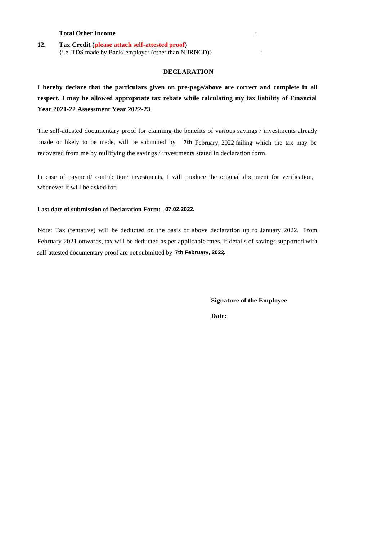#### **Total Other Income** :

#### **12. Tax Credit (please attach self-attested proof)** {i.e. TDS made by Bank/ employer (other than NIIRNCD)} :

#### **DECLARATION**

**I hereby declare that the particulars given on pre-page/above are correct and complete in all respect. I may be allowed appropriate tax rebate while calculating my tax liability of Financial Year 2021-22 Assessment Year 2022-23**.

The self-attested documentary proof for claiming the benefits of various savings / investments already recovered from me by nullifying the savings / investments stated in declaration form. made or likely to be made, will be submitted by **7th** February, 2022 failing which the tax may be

whenever it will be asked for. In case of payment/ contribution/ investments, I will produce the original document for verification,

#### **Last date of submission of Declaration Form: 07.02.2022.**

Note: Tax (tentative) will be deducted on the basis of above declaration up to January 2022. From February 2021 onwards, tax will be deducted as per applicable rates, if details of savings supported with self-attested documentary proof are not submitted by 7th February, 2022.

> **Signature of the Employee Date:**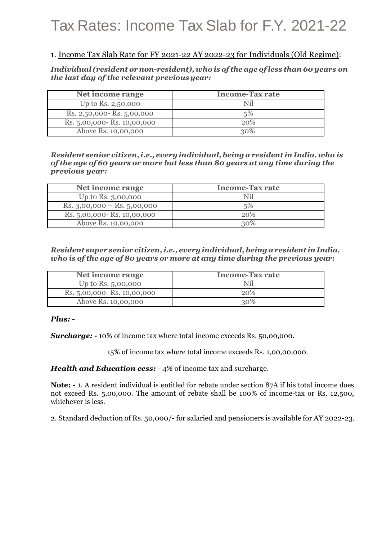# Tax Rates: Income Tax Slab for F.Y. 2021-22

# 1. Income Tax Slab Rate for FY 2021-22 AY 2022-23 for Individuals (Old Regime):

*Individual (resident ornon-resident), who is of the age ofless than 60 years on the last day of the relevant previousyear:*

| Net income range             | <b>Income-Tax rate</b> |
|------------------------------|------------------------|
| Up to Rs. 2,50,000           | Nil                    |
| Rs. 2,50,000 - Rs. 5,00,000  | 5%                     |
| Rs. 5,00,000 - Rs. 10,00,000 | 20%                    |
| Above Rs. 10,00,000          | 30%                    |

*Resident senior citizen,i.e., every individual,being a resident inIndia, who is of the age of 60 years or more but less than 80 years at any time during the previous year:*

| Net income range                | <b>Income-Tax rate</b> |
|---------------------------------|------------------------|
| Up to Rs. 3,00,000              | Nil                    |
| Rs. $3,00,000 -$ Rs. $5,00,000$ | 5%                     |
| Rs. 5,00,000 - Rs. 10,00,000    | 20%                    |
| Above Rs. 10,00,000             | 30%                    |

*Resident super senior citizen,i.e., everyindividual, being aresident inIndia, who is of the age of 80 years or more at any time during the previous year:*

| Net income range             | <b>Income-Tax rate</b> |
|------------------------------|------------------------|
| Up to Rs. 5,00,000           |                        |
| Rs. 5,00,000 - Rs. 10,00,000 | 20%                    |
| Above Rs. 10,00,000          | 30%                    |

### *Plus: -*

*Surcharge: -* 10% of income tax where total income exceeds Rs. 50,00,000.

15% of income tax where total income exceeds Rs. 1,00,00,000.

*Health and Education cess:* - 4% of income tax and surcharge.

**Note: -** 1. A resident individual is entitled for rebate under section 87A if his total income does not exceed Rs. 5,00,000. The amount of rebate shall be 100% of income-tax or Rs. 12,500, whichever is less.

2. Standard deduction of Rs. 50,000/- for salaried and pensioners is available for AY 2022-23.